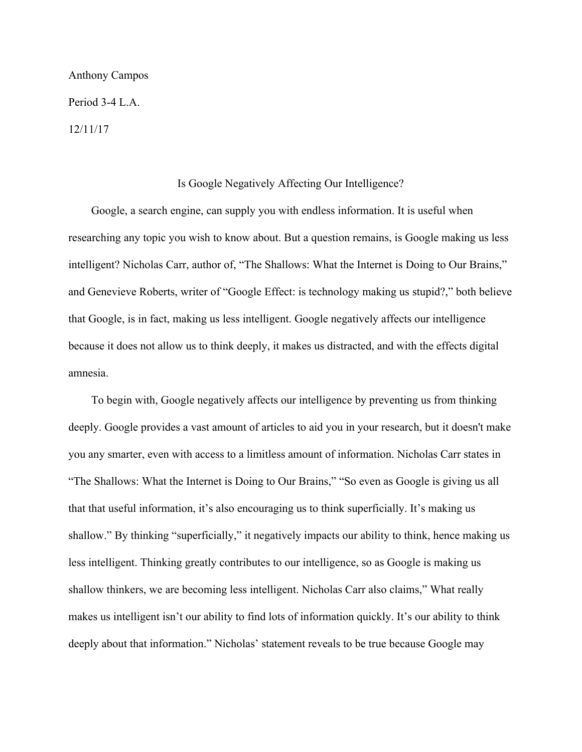## Anthony Campos

Period 3-4 L.A.

12/11/17

## Is Google Negatively Affecting Our Intelligence?

 Google, a search engine, can supply you with endless information. It is useful when researching any topic you wish to know about. But a question remains, is Google making us less intelligent? Nicholas Carr, author of, "The Shallows: What the Internet is Doing to Our Brains," and Genevieve Roberts, writer of "Google Effect: is technology making us stupid?," both believe that Google, is in fact, making us less intelligent. Google negatively affects our intelligence because it does not allow us to think deeply, it makes us distracted, and with the effects digital amnesia.

 To begin with, Google negatively affects our intelligence by preventing us from thinking deeply. Google provides a vast amount of articles to aid you in your research, but it doesn't make you any smarter, even with access to a limitless amount of information. Nicholas Carr states in "The Shallows: What the Internet is Doing to Our Brains," "So even as Google is giving us all that that useful information, it's also encouraging us to think superficially. It's making us shallow." By thinking "superficially," it negatively impacts our ability to think, hence making us less intelligent. Thinking greatly contributes to our intelligence, so as Google is making us shallow thinkers, we are becoming less intelligent. Nicholas Carr also claims," What really makes us intelligent isn't our ability to find lots of information quickly. It's our ability to think deeply about that information." Nicholas' statement reveals to be true because Google may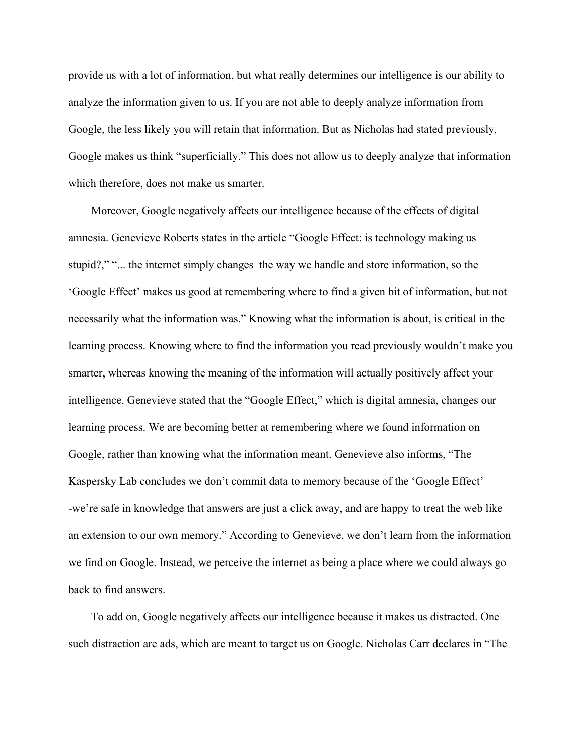provide us with a lot of information, but what really determines our intelligence is our ability to analyze the information given to us. If you are not able to deeply analyze information from Google, the less likely you will retain that information. But as Nicholas had stated previously, Google makes us think "superficially." This does not allow us to deeply analyze that information which therefore, does not make us smarter.

 Moreover, Google negatively affects our intelligence because of the effects of digital amnesia. Genevieve Roberts states in the article "Google Effect: is technology making us stupid?," "... the internet simply changes the way we handle and store information, so the 'Google Effect' makes us good at remembering where to find a given bit of information, but not necessarily what the information was." Knowing what the information is about, is critical in the learning process. Knowing where to find the information you read previously wouldn't make you smarter, whereas knowing the meaning of the information will actually positively affect your intelligence. Genevieve stated that the "Google Effect," which is digital amnesia, changes our learning process. We are becoming better at remembering where we found information on Google, rather than knowing what the information meant. Genevieve also informs, "The Kaspersky Lab concludes we don't commit data to memory because of the 'Google Effect' -we're safe in knowledge that answers are just a click away, and are happy to treat the web like an extension to our own memory." According to Genevieve, we don't learn from the information we find on Google. Instead, we perceive the internet as being a place where we could always go back to find answers.

 To add on, Google negatively affects our intelligence because it makes us distracted. One such distraction are ads, which are meant to target us on Google. Nicholas Carr declares in "The